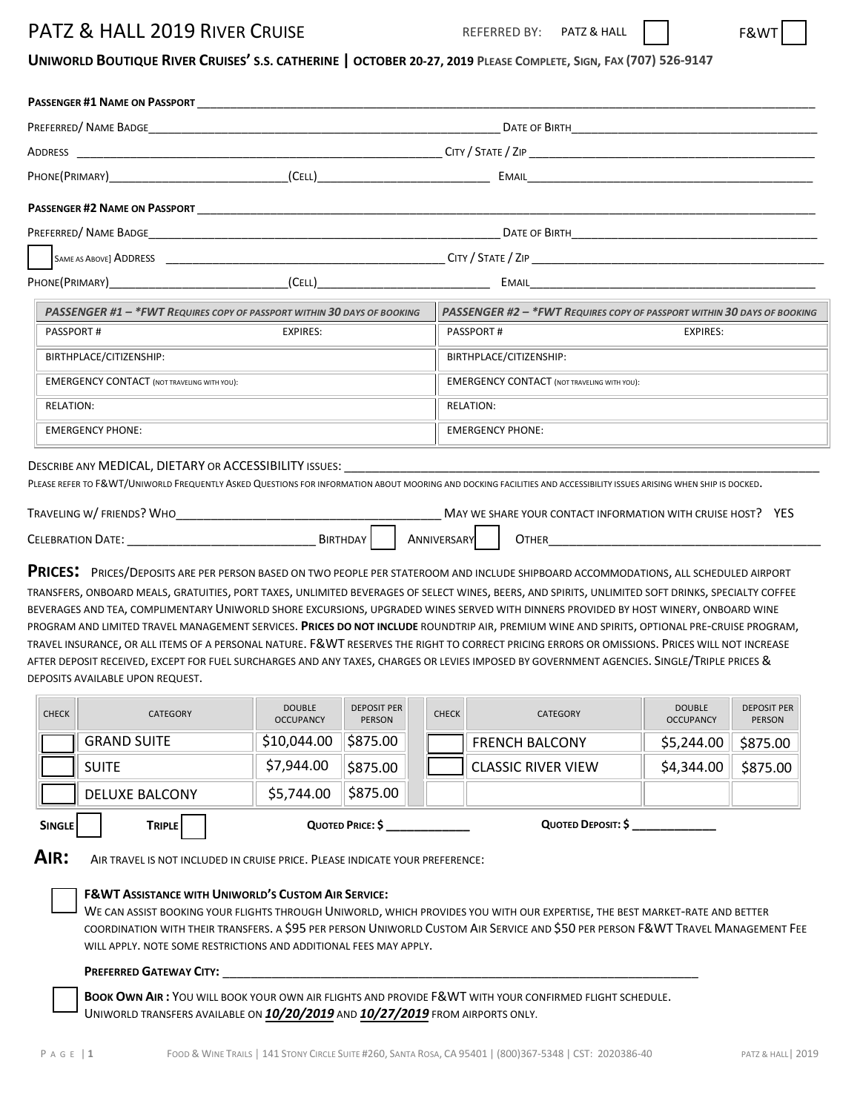# PATZ & HALL 2019 RIVER CRUISE **PATZ & HALL 2019** REFERRED BY: PATZ & HALL

**PASSENGER #1 NAME ON PASSPORT** 

REFERRED BY: PATZ & HALL

## UNIWORLD BOUTIQUE RIVER CRUISES' S.S. CATHERINE | OCTOBER 20-27, 2019 PLEASE COMPLETE, SIGN, FAX (707) 526-9147

| ADDRESS                                                                                                                                                                                                                                                                                                                                                                                                                                                                                                                                                                                                                                                                                                                                                                                                                                                                                                                     |                                   |                              |                  |                                                                                                                                                                                                                                                                                                                                                                          |                                   |                                     |
|-----------------------------------------------------------------------------------------------------------------------------------------------------------------------------------------------------------------------------------------------------------------------------------------------------------------------------------------------------------------------------------------------------------------------------------------------------------------------------------------------------------------------------------------------------------------------------------------------------------------------------------------------------------------------------------------------------------------------------------------------------------------------------------------------------------------------------------------------------------------------------------------------------------------------------|-----------------------------------|------------------------------|------------------|--------------------------------------------------------------------------------------------------------------------------------------------------------------------------------------------------------------------------------------------------------------------------------------------------------------------------------------------------------------------------|-----------------------------------|-------------------------------------|
|                                                                                                                                                                                                                                                                                                                                                                                                                                                                                                                                                                                                                                                                                                                                                                                                                                                                                                                             |                                   |                              |                  |                                                                                                                                                                                                                                                                                                                                                                          |                                   |                                     |
|                                                                                                                                                                                                                                                                                                                                                                                                                                                                                                                                                                                                                                                                                                                                                                                                                                                                                                                             |                                   |                              |                  |                                                                                                                                                                                                                                                                                                                                                                          |                                   |                                     |
|                                                                                                                                                                                                                                                                                                                                                                                                                                                                                                                                                                                                                                                                                                                                                                                                                                                                                                                             |                                   |                              |                  |                                                                                                                                                                                                                                                                                                                                                                          |                                   |                                     |
|                                                                                                                                                                                                                                                                                                                                                                                                                                                                                                                                                                                                                                                                                                                                                                                                                                                                                                                             |                                   |                              |                  |                                                                                                                                                                                                                                                                                                                                                                          |                                   |                                     |
|                                                                                                                                                                                                                                                                                                                                                                                                                                                                                                                                                                                                                                                                                                                                                                                                                                                                                                                             |                                   |                              |                  |                                                                                                                                                                                                                                                                                                                                                                          |                                   |                                     |
| PASSENGER #1 - * FWT REQUIRES COPY OF PASSPORT WITHIN 30 DAYS OF BOOKING<br>PASSENGER #2 - *FWT REQUIRES COPY OF PASSPORT WITHIN 30 DAYS OF BOOKING                                                                                                                                                                                                                                                                                                                                                                                                                                                                                                                                                                                                                                                                                                                                                                         |                                   |                              |                  |                                                                                                                                                                                                                                                                                                                                                                          |                                   |                                     |
| <b>PASSPORT#</b><br><b>EXPIRES:</b>                                                                                                                                                                                                                                                                                                                                                                                                                                                                                                                                                                                                                                                                                                                                                                                                                                                                                         |                                   |                              | <b>PASSPORT#</b> | <b>EXPIRES:</b>                                                                                                                                                                                                                                                                                                                                                          |                                   |                                     |
| BIRTHPLACE/CITIZENSHIP:                                                                                                                                                                                                                                                                                                                                                                                                                                                                                                                                                                                                                                                                                                                                                                                                                                                                                                     |                                   |                              |                  | BIRTHPLACE/CITIZENSHIP:                                                                                                                                                                                                                                                                                                                                                  |                                   |                                     |
| <b>EMERGENCY CONTACT (NOT TRAVELING WITH YOU):</b>                                                                                                                                                                                                                                                                                                                                                                                                                                                                                                                                                                                                                                                                                                                                                                                                                                                                          |                                   |                              |                  | <b>EMERGENCY CONTACT (NOT TRAVELING WITH YOU):</b>                                                                                                                                                                                                                                                                                                                       |                                   |                                     |
| <b>RELATION:</b>                                                                                                                                                                                                                                                                                                                                                                                                                                                                                                                                                                                                                                                                                                                                                                                                                                                                                                            |                                   |                              |                  | <b>RELATION:</b>                                                                                                                                                                                                                                                                                                                                                         |                                   |                                     |
| <b>EMERGENCY PHONE:</b>                                                                                                                                                                                                                                                                                                                                                                                                                                                                                                                                                                                                                                                                                                                                                                                                                                                                                                     |                                   |                              |                  | <b>EMERGENCY PHONE:</b>                                                                                                                                                                                                                                                                                                                                                  |                                   |                                     |
| <b>PRICES:</b> PRICES/DEPOSITS ARE PER PERSON BASED ON TWO PEOPLE PER STATEROOM AND INCLUDE SHIPBOARD ACCOMMODATIONS, ALL SCHEDULED AIRPORT<br>TRANSFERS, ONBOARD MEALS, GRATUITIES, PORT TAXES, UNLIMITED BEVERAGES OF SELECT WINES, BEERS, AND SPIRITS, UNLIMITED SOFT DRINKS, SPECIALTY COFFEE<br>BEVERAGES AND TEA, COMPLIMENTARY UNIWORLD SHORE EXCURSIONS, UPGRADED WINES SERVED WITH DINNERS PROVIDED BY HOST WINERY, ONBOARD WINE<br>PROGRAM AND LIMITED TRAVEL MANAGEMENT SERVICES. PRICES DO NOT INCLUDE ROUNDTRIP AIR, PREMIUM WINE AND SPIRITS, OPTIONAL PRE-CRUISE PROGRAM,<br>TRAVEL INSURANCE, OR ALL ITEMS OF A PERSONAL NATURE. F&WT RESERVES THE RIGHT TO CORRECT PRICING ERRORS OR OMISSIONS. PRICES WILL NOT INCREASE<br>AFTER DEPOSIT RECEIVED, EXCEPT FOR FUEL SURCHARGES AND ANY TAXES, CHARGES OR LEVIES IMPOSED BY GOVERNMENT AGENCIES. SINGLE/TRIPLE PRICES &<br>DEPOSITS AVAILABLE UPON REQUEST. |                                   |                              | ANNIVERSARY      | MAY WE SHARE YOUR CONTACT INFORMATION WITH CRUISE HOST? YES<br><b>OTHER</b> 2007 2008 2014 2015 2016 2017 2018 2019 2021 2022 2023 2024 2022 2023 2023 2024 2025 2026 2027 2028 20                                                                                                                                                                                       |                                   |                                     |
| <b>CHECK</b><br><b>CATEGORY</b>                                                                                                                                                                                                                                                                                                                                                                                                                                                                                                                                                                                                                                                                                                                                                                                                                                                                                             | <b>DOUBLE</b><br><b>OCCUPANCY</b> | <b>DEPOSIT PER</b><br>PERSON | <b>CHECK</b>     | <b>CATEGORY</b>                                                                                                                                                                                                                                                                                                                                                          | <b>DOUBLE</b><br><b>OCCUPANCY</b> | <b>DEPOSIT PER</b><br><b>PERSON</b> |
| <b>GRAND SUITE</b>                                                                                                                                                                                                                                                                                                                                                                                                                                                                                                                                                                                                                                                                                                                                                                                                                                                                                                          | \$10,044.00                       | $\frac{1}{2}$ \$875.00       |                  | <b>FRENCH BALCONY</b>                                                                                                                                                                                                                                                                                                                                                    | \$5,244.00                        | \$875.00                            |
| <b>SUITE</b>                                                                                                                                                                                                                                                                                                                                                                                                                                                                                                                                                                                                                                                                                                                                                                                                                                                                                                                | \$7,944.00                        | \$875.00                     |                  | <b>CLASSIC RIVER VIEW</b>                                                                                                                                                                                                                                                                                                                                                | \$4,344.00                        | \$875.00                            |
| <b>DELUXE BALCONY</b>                                                                                                                                                                                                                                                                                                                                                                                                                                                                                                                                                                                                                                                                                                                                                                                                                                                                                                       | \$5,744.00                        | \$875.00                     |                  |                                                                                                                                                                                                                                                                                                                                                                          |                                   |                                     |
| <b>SINGLE</b><br><b>TRIPLE</b>                                                                                                                                                                                                                                                                                                                                                                                                                                                                                                                                                                                                                                                                                                                                                                                                                                                                                              |                                   | QUOTED PRICE: \$             |                  | QUOTED DEPOSIT: \$                                                                                                                                                                                                                                                                                                                                                       |                                   |                                     |
|                                                                                                                                                                                                                                                                                                                                                                                                                                                                                                                                                                                                                                                                                                                                                                                                                                                                                                                             |                                   |                              |                  |                                                                                                                                                                                                                                                                                                                                                                          |                                   |                                     |
| AIR:<br>AIR TRAVEL IS NOT INCLUDED IN CRUISE PRICE. PLEASE INDICATE YOUR PREFERENCE:<br><b>F&amp;WT ASSISTANCE WITH UNIWORLD'S CUSTOM AIR SERVICE:</b><br>WILL APPLY. NOTE SOME RESTRICTIONS AND ADDITIONAL FEES MAY APPLY.<br><b>PREFERRED GATEWAY CITY:</b><br>UNIWORLD TRANSFERS AVAILABLE ON 10/20/2019 AND 10/27/2019 FROM AIRPORTS ONLY.                                                                                                                                                                                                                                                                                                                                                                                                                                                                                                                                                                              |                                   |                              |                  | WE CAN ASSIST BOOKING YOUR FLIGHTS THROUGH UNIWORLD, WHICH PROVIDES YOU WITH OUR EXPERTISE, THE BEST MARKET-RATE AND BETTER<br>COORDINATION WITH THEIR TRANSFERS. A \$95 PER PERSON UNIWORLD CUSTOM AIR SERVICE AND \$50 PER PERSON F&WT TRAVEL MANAGEMENT FEE<br>BOOK OWN AIR: YOU WILL BOOK YOUR OWN AIR FLIGHTS AND PROVIDE F&WT WITH YOUR CONFIRMED FLIGHT SCHEDULE. |                                   |                                     |